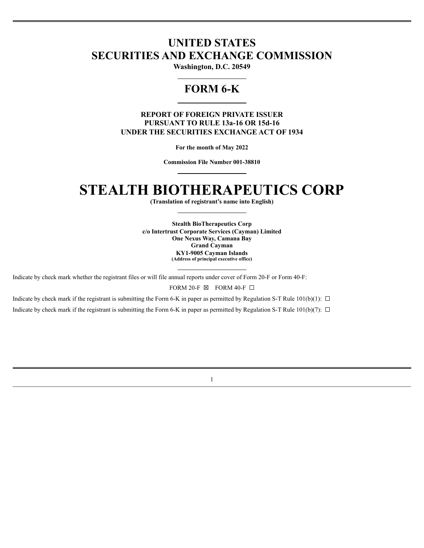# **UNITED STATES SECURITIES AND EXCHANGE COMMISSION**

**Washington, D.C. 20549**

# **FORM 6-K**

### **REPORT OF FOREIGN PRIVATE ISSUER PURSUANT TO RULE 13a-16 OR 15d-16 UNDER THE SECURITIES EXCHANGE ACT OF 1934**

**For the month of May 2022**

**Commission File Number 001-38810**

# **STEALTH BIOTHERAPEUTICS CORP**

**(Translation of registrant's name into English)**

**Stealth BioTherapeutics Corp c/o Intertrust Corporate Services (Cayman) Limited One Nexus Way, Camana Bay Grand Cayman KY1-9005 Cayman Islands (Address of principal executive office)**

Indicate by check mark whether the registrant files or will file annual reports under cover of Form 20-F or Form 40-F:

FORM 20-F  $\boxtimes$  FORM 40-F  $\Box$ 

Indicate by check mark if the registrant is submitting the Form 6-K in paper as permitted by Regulation S-T Rule 101(b)(1):  $\Box$ 

Indicate by check mark if the registrant is submitting the Form 6-K in paper as permitted by Regulation S-T Rule 101(b)(7):  $\Box$ 

1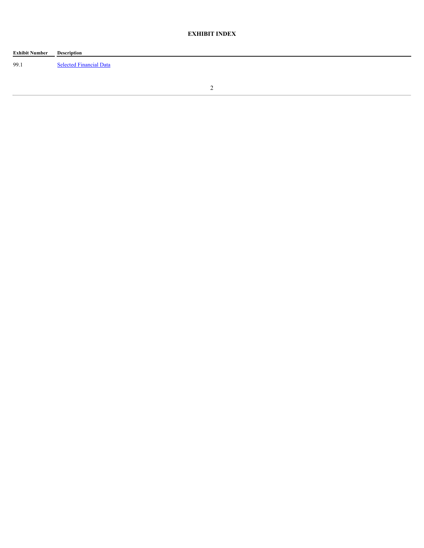# **EXHIBIT INDEX**

| <b>Exhibit Number</b> | Description                    |
|-----------------------|--------------------------------|
| 99.1                  | <b>Selected Financial Data</b> |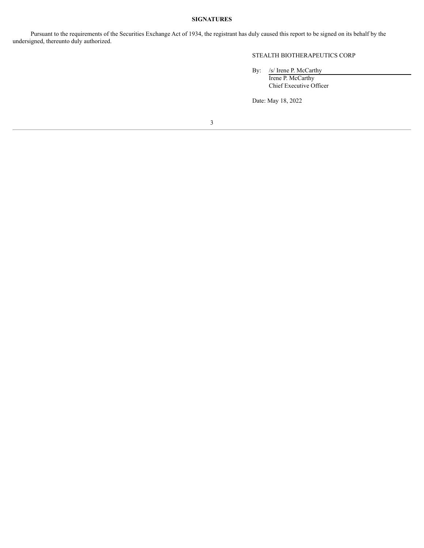# **SIGNATURES**

Pursuant to the requirements of the Securities Exchange Act of 1934, the registrant has duly caused this report to be signed on its behalf by the undersigned, thereunto duly authorized.

#### STEALTH BIOTHERAPEUTICS CORP

By: /s/ Irene P. McCarthy Irene P. McCarthy

Chief Executive Officer

Date: May 18, 2022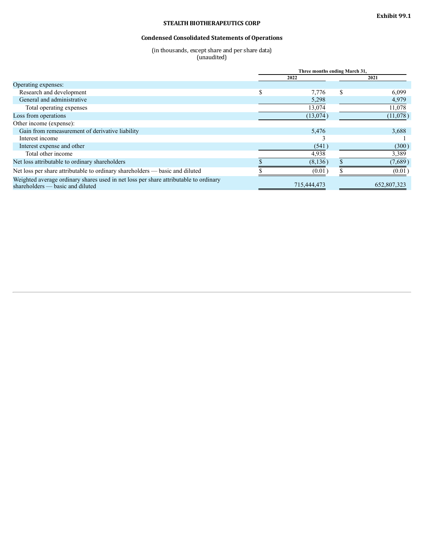# **STEALTH BIOTHERAPEUTICS CORP**

# **Condensed Consolidated Statements of Operations**

(in thousands, except share and per share data) (unaudited)

<span id="page-4-0"></span>

|                                                                                                                          |      | Three months ending March 31, |      |             |
|--------------------------------------------------------------------------------------------------------------------------|------|-------------------------------|------|-------------|
|                                                                                                                          | 2022 |                               | 2021 |             |
| Operating expenses:                                                                                                      |      |                               |      |             |
| Research and development                                                                                                 | \$   | 7.776                         | \$   | 6,099       |
| General and administrative                                                                                               |      | 5,298                         |      | 4,979       |
| Total operating expenses                                                                                                 |      | 13,074                        |      | 11,078      |
| Loss from operations                                                                                                     |      | (13,074)                      |      | (11,078)    |
| Other income (expense):                                                                                                  |      |                               |      |             |
| Gain from remeasurement of derivative liability                                                                          |      | 5,476                         |      | 3,688       |
| Interest income                                                                                                          |      |                               |      |             |
| Interest expense and other                                                                                               |      | (541)                         |      | (300)       |
| Total other income                                                                                                       |      | 4,938                         |      | 3,389       |
| Net loss attributable to ordinary shareholders                                                                           |      | (8, 136)                      |      | (7,689)     |
| Net loss per share attributable to ordinary shareholders — basic and diluted                                             |      | (0.01)                        |      | (0.01)      |
| Weighted average ordinary shares used in net loss per share attributable to ordinary<br>shareholders — basic and diluted |      | 715,444,473                   |      | 652,807,323 |